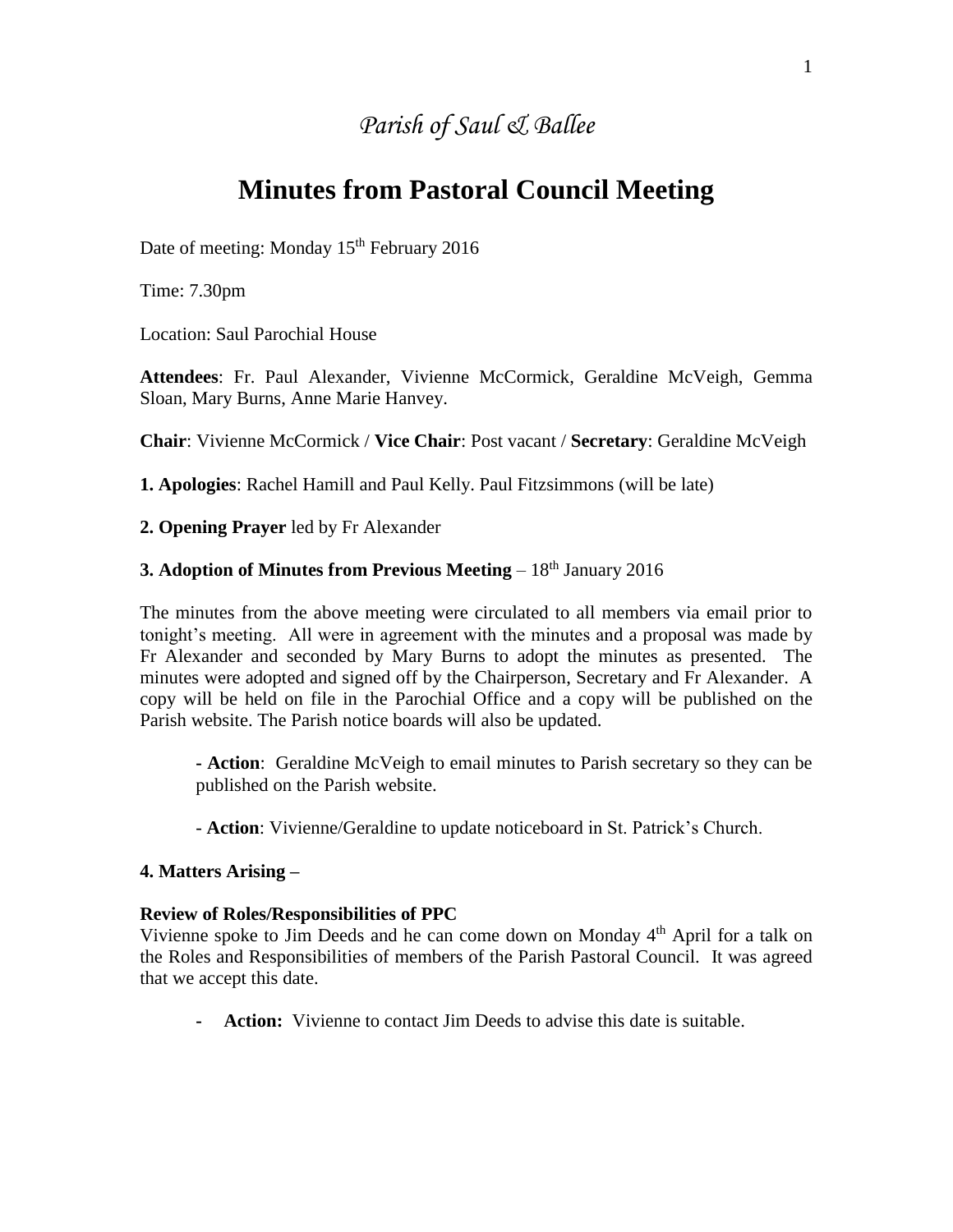## *Parish of Saul & Ballee*

# **Minutes from Pastoral Council Meeting**

Date of meeting: Monday 15<sup>th</sup> February 2016

Time: 7.30pm

Location: Saul Parochial House

**Attendees**: Fr. Paul Alexander, Vivienne McCormick, Geraldine McVeigh, Gemma Sloan, Mary Burns, Anne Marie Hanvey.

**Chair**: Vivienne McCormick / **Vice Chair**: Post vacant / **Secretary**: Geraldine McVeigh

**1. Apologies**: Rachel Hamill and Paul Kelly. Paul Fitzsimmons (will be late)

**2. Opening Prayer** led by Fr Alexander

## **3. Adoption of Minutes from Previous Meeting** – 18<sup>th</sup> January 2016

The minutes from the above meeting were circulated to all members via email prior to tonight's meeting. All were in agreement with the minutes and a proposal was made by Fr Alexander and seconded by Mary Burns to adopt the minutes as presented. The minutes were adopted and signed off by the Chairperson, Secretary and Fr Alexander. A copy will be held on file in the Parochial Office and a copy will be published on the Parish website. The Parish notice boards will also be updated.

**- Action**: Geraldine McVeigh to email minutes to Parish secretary so they can be published on the Parish website.

- **Action**: Vivienne/Geraldine to update noticeboard in St. Patrick's Church.

#### **4. Matters Arising –**

#### **Review of Roles/Responsibilities of PPC**

Vivienne spoke to Jim Deeds and he can come down on Monday 4<sup>th</sup> April for a talk on the Roles and Responsibilities of members of the Parish Pastoral Council. It was agreed that we accept this date.

**- Action:** Vivienne to contact Jim Deeds to advise this date is suitable.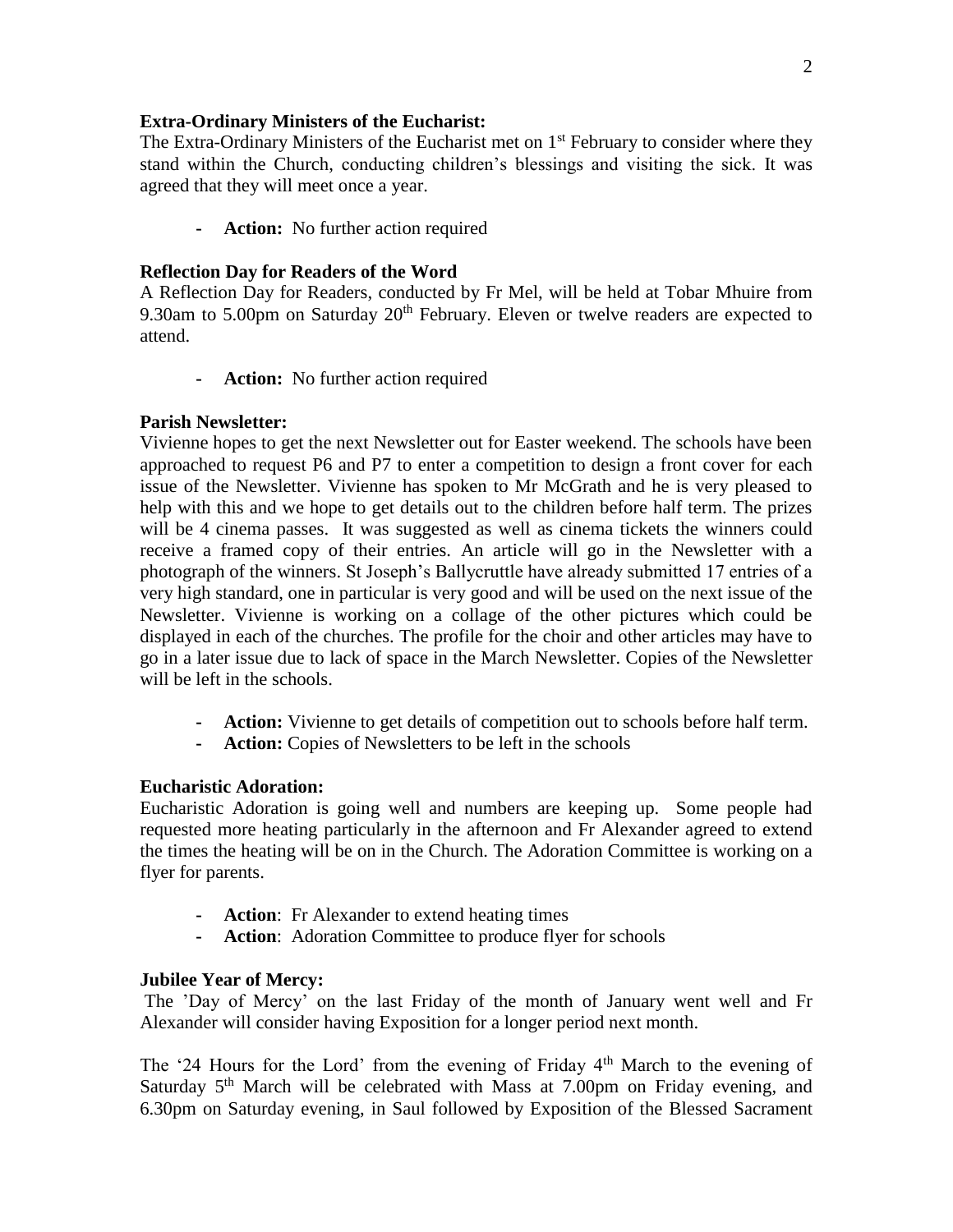#### **Extra-Ordinary Ministers of the Eucharist:**

The Extra-Ordinary Ministers of the Eucharist met on  $1<sup>st</sup>$  February to consider where they stand within the Church, conducting children's blessings and visiting the sick. It was agreed that they will meet once a year.

**- Action:** No further action required

## **Reflection Day for Readers of the Word**

A Reflection Day for Readers, conducted by Fr Mel, will be held at Tobar Mhuire from 9.30am to 5.00pm on Saturday  $20<sup>th</sup>$  February. Eleven or twelve readers are expected to attend.

**- Action:** No further action required

## **Parish Newsletter:**

Vivienne hopes to get the next Newsletter out for Easter weekend. The schools have been approached to request P6 and P7 to enter a competition to design a front cover for each issue of the Newsletter. Vivienne has spoken to Mr McGrath and he is very pleased to help with this and we hope to get details out to the children before half term. The prizes will be 4 cinema passes. It was suggested as well as cinema tickets the winners could receive a framed copy of their entries. An article will go in the Newsletter with a photograph of the winners. St Joseph's Ballycruttle have already submitted 17 entries of a very high standard, one in particular is very good and will be used on the next issue of the Newsletter. Vivienne is working on a collage of the other pictures which could be displayed in each of the churches. The profile for the choir and other articles may have to go in a later issue due to lack of space in the March Newsletter. Copies of the Newsletter will be left in the schools.

- **- Action:** Vivienne to get details of competition out to schools before half term.
- **- Action:** Copies of Newsletters to be left in the schools

## **Eucharistic Adoration:**

Eucharistic Adoration is going well and numbers are keeping up. Some people had requested more heating particularly in the afternoon and Fr Alexander agreed to extend the times the heating will be on in the Church. The Adoration Committee is working on a flyer for parents.

- **- Action**: Fr Alexander to extend heating times
- **- Action**: Adoration Committee to produce flyer for schools

## **Jubilee Year of Mercy:**

The 'Day of Mercy' on the last Friday of the month of January went well and Fr Alexander will consider having Exposition for a longer period next month.

The '24 Hours for the Lord' from the evening of Friday 4<sup>th</sup> March to the evening of Saturday  $5<sup>th</sup>$  March will be celebrated with Mass at 7.00pm on Friday evening, and 6.30pm on Saturday evening, in Saul followed by Exposition of the Blessed Sacrament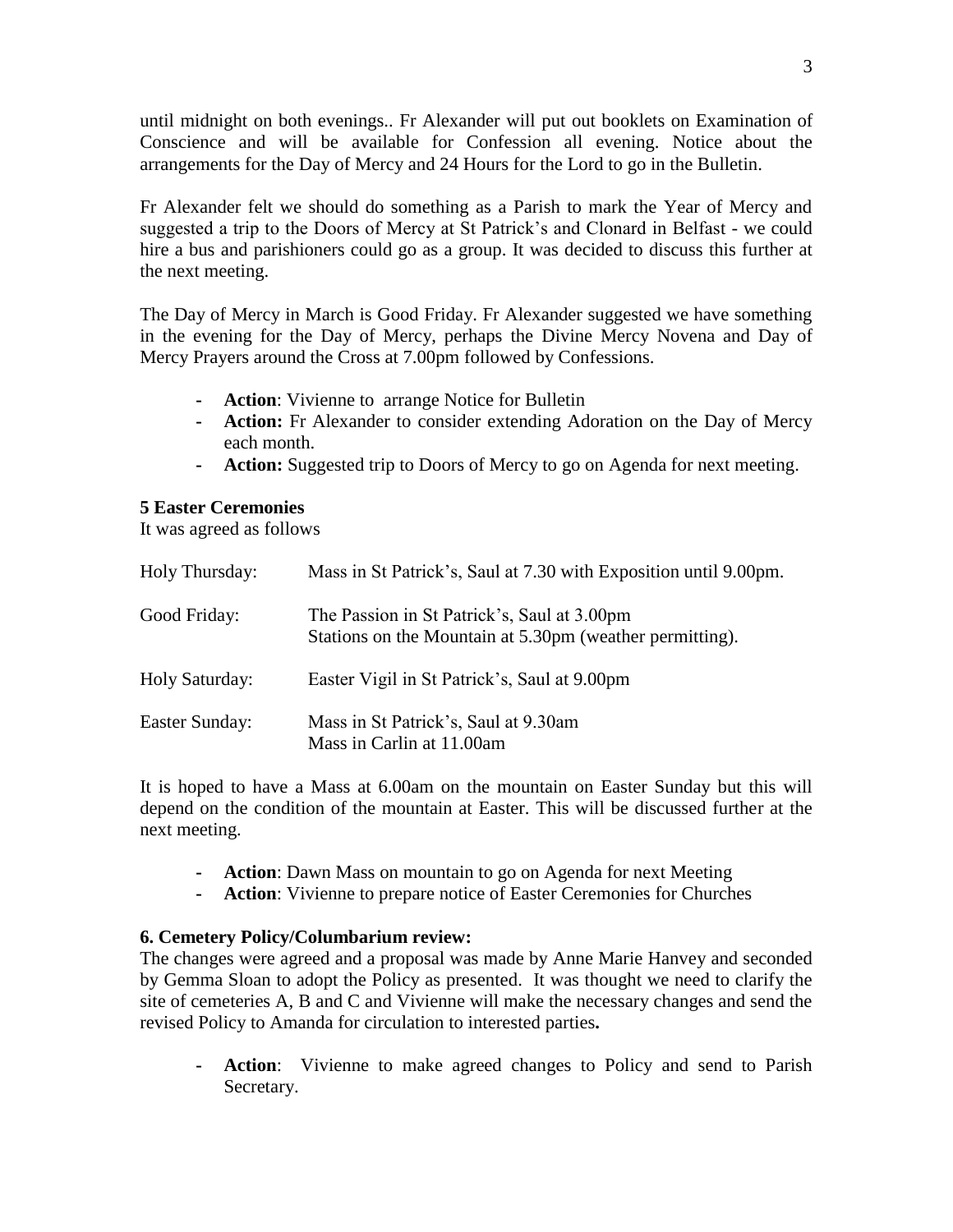until midnight on both evenings.. Fr Alexander will put out booklets on Examination of Conscience and will be available for Confession all evening. Notice about the arrangements for the Day of Mercy and 24 Hours for the Lord to go in the Bulletin.

Fr Alexander felt we should do something as a Parish to mark the Year of Mercy and suggested a trip to the Doors of Mercy at St Patrick's and Clonard in Belfast - we could hire a bus and parishioners could go as a group. It was decided to discuss this further at the next meeting.

The Day of Mercy in March is Good Friday. Fr Alexander suggested we have something in the evening for the Day of Mercy, perhaps the Divine Mercy Novena and Day of Mercy Prayers around the Cross at 7.00pm followed by Confessions.

- **- Action**: Vivienne to arrange Notice for Bulletin
- **- Action:** Fr Alexander to consider extending Adoration on the Day of Mercy each month.
- **- Action:** Suggested trip to Doors of Mercy to go on Agenda for next meeting.

#### **5 Easter Ceremonies**

It was agreed as follows

| Holy Thursday: | Mass in St Patrick's, Saul at 7.30 with Exposition until 9.00pm.                                        |
|----------------|---------------------------------------------------------------------------------------------------------|
| Good Friday:   | The Passion in St Patrick's, Saul at 3.00pm<br>Stations on the Mountain at 5.30pm (weather permitting). |
| Holy Saturday: | Easter Vigil in St Patrick's, Saul at 9.00pm                                                            |
| Easter Sunday: | Mass in St Patrick's, Saul at 9.30am<br>Mass in Carlin at 11.00am                                       |

It is hoped to have a Mass at 6.00am on the mountain on Easter Sunday but this will depend on the condition of the mountain at Easter. This will be discussed further at the next meeting.

- **- Action**: Dawn Mass on mountain to go on Agenda for next Meeting
- **- Action**: Vivienne to prepare notice of Easter Ceremonies for Churches

#### **6. Cemetery Policy/Columbarium review:**

The changes were agreed and a proposal was made by Anne Marie Hanvey and seconded by Gemma Sloan to adopt the Policy as presented. It was thought we need to clarify the site of cemeteries A, B and C and Vivienne will make the necessary changes and send the revised Policy to Amanda for circulation to interested parties**.**

**- Action**: Vivienne to make agreed changes to Policy and send to Parish Secretary.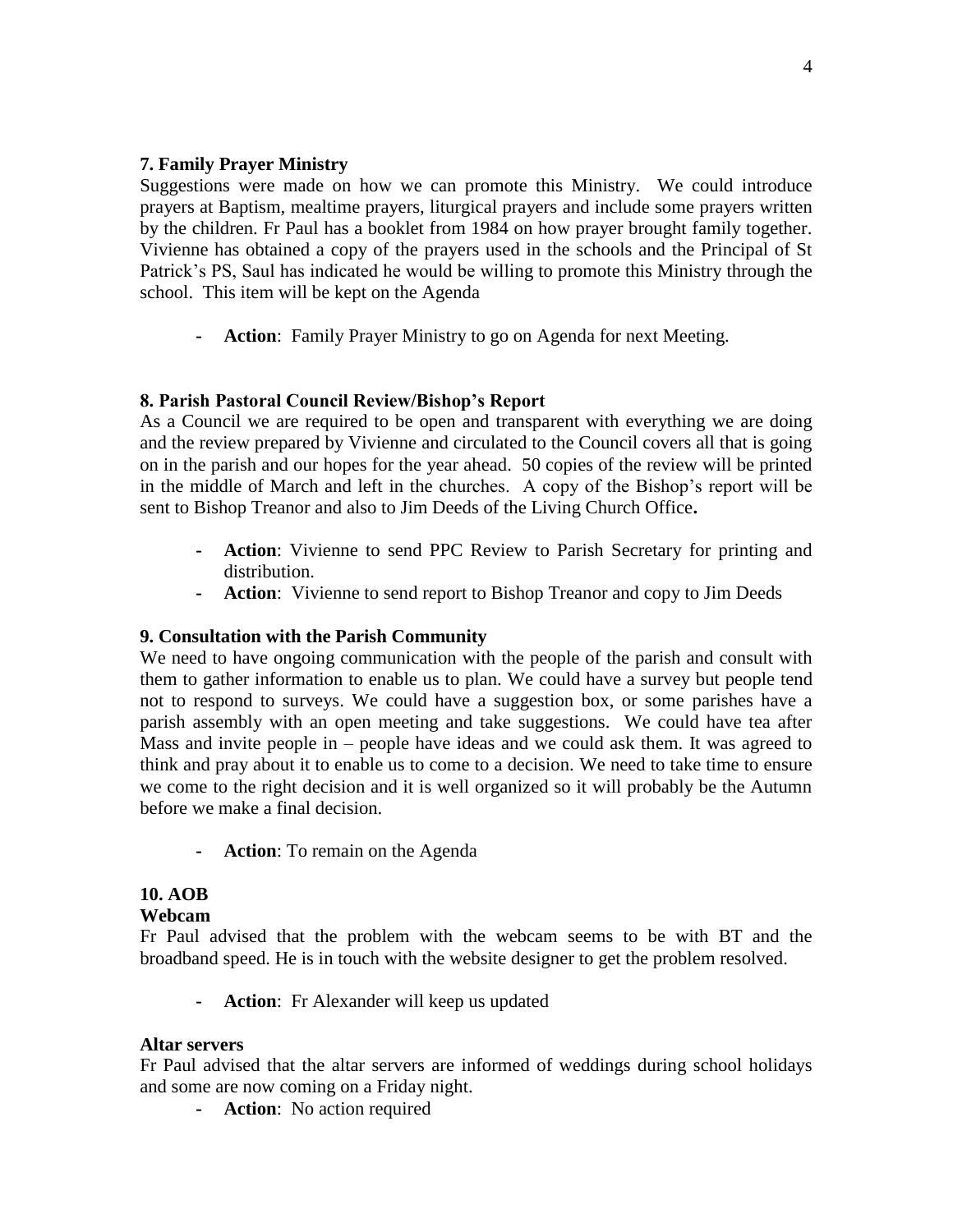#### **7. Family Prayer Ministry**

Suggestions were made on how we can promote this Ministry. We could introduce prayers at Baptism, mealtime prayers, liturgical prayers and include some prayers written by the children. Fr Paul has a booklet from 1984 on how prayer brought family together. Vivienne has obtained a copy of the prayers used in the schools and the Principal of St Patrick's PS, Saul has indicated he would be willing to promote this Ministry through the school. This item will be kept on the Agenda

**- Action**: Family Prayer Ministry to go on Agenda for next Meeting.

### **8. Parish Pastoral Council Review/Bishop's Report**

As a Council we are required to be open and transparent with everything we are doing and the review prepared by Vivienne and circulated to the Council covers all that is going on in the parish and our hopes for the year ahead. 50 copies of the review will be printed in the middle of March and left in the churches. A copy of the Bishop's report will be sent to Bishop Treanor and also to Jim Deeds of the Living Church Office**.**

- **- Action**: Vivienne to send PPC Review to Parish Secretary for printing and distribution.
- **- Action**: Vivienne to send report to Bishop Treanor and copy to Jim Deeds

## **9. Consultation with the Parish Community**

We need to have ongoing communication with the people of the parish and consult with them to gather information to enable us to plan. We could have a survey but people tend not to respond to surveys. We could have a suggestion box, or some parishes have a parish assembly with an open meeting and take suggestions. We could have tea after Mass and invite people in – people have ideas and we could ask them. It was agreed to think and pray about it to enable us to come to a decision. We need to take time to ensure we come to the right decision and it is well organized so it will probably be the Autumn before we make a final decision.

**- Action**: To remain on the Agenda

## **10. AOB**

#### **Webcam**

Fr Paul advised that the problem with the webcam seems to be with BT and the broadband speed. He is in touch with the website designer to get the problem resolved.

**- Action**: Fr Alexander will keep us updated

#### **Altar servers**

Fr Paul advised that the altar servers are informed of weddings during school holidays and some are now coming on a Friday night.

**- Action**: No action required